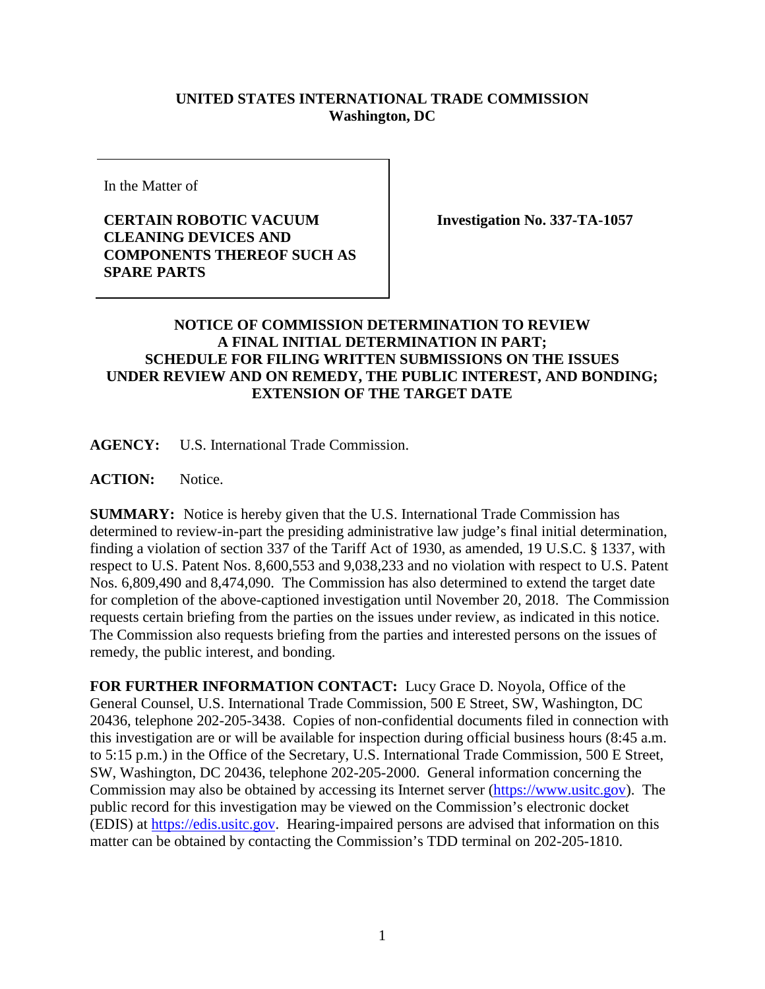## **UNITED STATES INTERNATIONAL TRADE COMMISSION Washington, DC**

In the Matter of

## **CERTAIN ROBOTIC VACUUM CLEANING DEVICES AND COMPONENTS THEREOF SUCH AS SPARE PARTS**

**Investigation No. 337-TA-1057**

## **NOTICE OF COMMISSION DETERMINATION TO REVIEW A FINAL INITIAL DETERMINATION IN PART; SCHEDULE FOR FILING WRITTEN SUBMISSIONS ON THE ISSUES UNDER REVIEW AND ON REMEDY, THE PUBLIC INTEREST, AND BONDING; EXTENSION OF THE TARGET DATE**

**AGENCY:** U.S. International Trade Commission.

**ACTION:** Notice.

**SUMMARY:** Notice is hereby given that the U.S. International Trade Commission has determined to review-in-part the presiding administrative law judge's final initial determination, finding a violation of section 337 of the Tariff Act of 1930, as amended, 19 U.S.C. § 1337, with respect to U.S. Patent Nos. 8,600,553 and 9,038,233 and no violation with respect to U.S. Patent Nos. 6,809,490 and 8,474,090. The Commission has also determined to extend the target date for completion of the above-captioned investigation until November 20, 2018. The Commission requests certain briefing from the parties on the issues under review, as indicated in this notice. The Commission also requests briefing from the parties and interested persons on the issues of remedy, the public interest, and bonding.

**FOR FURTHER INFORMATION CONTACT:** Lucy Grace D. Noyola, Office of the General Counsel, U.S. International Trade Commission, 500 E Street, SW, Washington, DC 20436, telephone 202-205-3438. Copies of non-confidential documents filed in connection with this investigation are or will be available for inspection during official business hours (8:45 a.m. to 5:15 p.m.) in the Office of the Secretary, U.S. International Trade Commission, 500 E Street, SW, Washington, DC 20436, telephone 202-205-2000. General information concerning the Commission may also be obtained by accessing its Internet server [\(https://www.usitc.gov\)](https://www.usitc.gov/). The public record for this investigation may be viewed on the Commission's electronic docket (EDIS) at [https://edis.usitc.gov.](http://edis.usitc.gov/) Hearing-impaired persons are advised that information on this matter can be obtained by contacting the Commission's TDD terminal on 202-205-1810.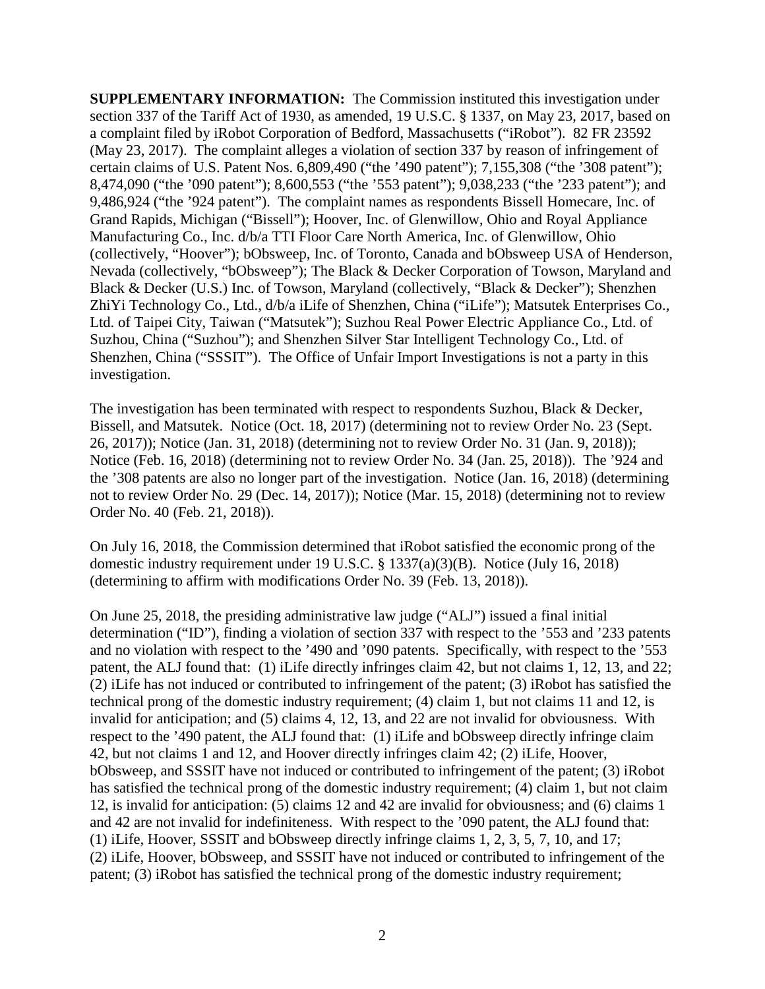**SUPPLEMENTARY INFORMATION:** The Commission instituted this investigation under section 337 of the Tariff Act of 1930, as amended, 19 U.S.C. § 1337, on May 23, 2017, based on a complaint filed by iRobot Corporation of Bedford, Massachusetts ("iRobot"). 82 FR 23592 (May 23, 2017). The complaint alleges a violation of section 337 by reason of infringement of certain claims of U.S. Patent Nos. 6,809,490 ("the '490 patent"); 7,155,308 ("the '308 patent"); 8,474,090 ("the '090 patent"); 8,600,553 ("the '553 patent"); 9,038,233 ("the '233 patent"); and 9,486,924 ("the '924 patent"). The complaint names as respondents Bissell Homecare, Inc. of Grand Rapids, Michigan ("Bissell"); Hoover, Inc. of Glenwillow, Ohio and Royal Appliance Manufacturing Co., Inc. d/b/a TTI Floor Care North America, Inc. of Glenwillow, Ohio (collectively, "Hoover"); bObsweep, Inc. of Toronto, Canada and bObsweep USA of Henderson, Nevada (collectively, "bObsweep"); The Black & Decker Corporation of Towson, Maryland and Black & Decker (U.S.) Inc. of Towson, Maryland (collectively, "Black & Decker"); Shenzhen ZhiYi Technology Co., Ltd., d/b/a iLife of Shenzhen, China ("iLife"); Matsutek Enterprises Co., Ltd. of Taipei City, Taiwan ("Matsutek"); Suzhou Real Power Electric Appliance Co., Ltd. of Suzhou, China ("Suzhou"); and Shenzhen Silver Star Intelligent Technology Co., Ltd. of Shenzhen, China ("SSSIT"). The Office of Unfair Import Investigations is not a party in this investigation.

The investigation has been terminated with respect to respondents Suzhou, Black & Decker, Bissell, and Matsutek. Notice (Oct. 18, 2017) (determining not to review Order No. 23 (Sept. 26, 2017)); Notice (Jan. 31, 2018) (determining not to review Order No. 31 (Jan. 9, 2018)); Notice (Feb. 16, 2018) (determining not to review Order No. 34 (Jan. 25, 2018)). The '924 and the '308 patents are also no longer part of the investigation. Notice (Jan. 16, 2018) (determining not to review Order No. 29 (Dec. 14, 2017)); Notice (Mar. 15, 2018) (determining not to review Order No. 40 (Feb. 21, 2018)).

On July 16, 2018, the Commission determined that iRobot satisfied the economic prong of the domestic industry requirement under 19 U.S.C. § 1337(a)(3)(B). Notice (July 16, 2018) (determining to affirm with modifications Order No. 39 (Feb. 13, 2018)).

On June 25, 2018, the presiding administrative law judge ("ALJ") issued a final initial determination ("ID"), finding a violation of section 337 with respect to the '553 and '233 patents and no violation with respect to the '490 and '090 patents. Specifically, with respect to the '553 patent, the ALJ found that: (1) iLife directly infringes claim 42, but not claims 1, 12, 13, and 22; (2) iLife has not induced or contributed to infringement of the patent; (3) iRobot has satisfied the technical prong of the domestic industry requirement; (4) claim 1, but not claims 11 and 12, is invalid for anticipation; and (5) claims 4, 12, 13, and 22 are not invalid for obviousness. With respect to the '490 patent, the ALJ found that: (1) iLife and bObsweep directly infringe claim 42, but not claims 1 and 12, and Hoover directly infringes claim 42; (2) iLife, Hoover, bObsweep, and SSSIT have not induced or contributed to infringement of the patent; (3) iRobot has satisfied the technical prong of the domestic industry requirement; (4) claim 1, but not claim 12, is invalid for anticipation: (5) claims 12 and 42 are invalid for obviousness; and (6) claims 1 and 42 are not invalid for indefiniteness. With respect to the '090 patent, the ALJ found that: (1) iLife, Hoover, SSSIT and bObsweep directly infringe claims 1, 2, 3, 5, 7, 10, and 17; (2) iLife, Hoover, bObsweep, and SSSIT have not induced or contributed to infringement of the patent; (3) iRobot has satisfied the technical prong of the domestic industry requirement;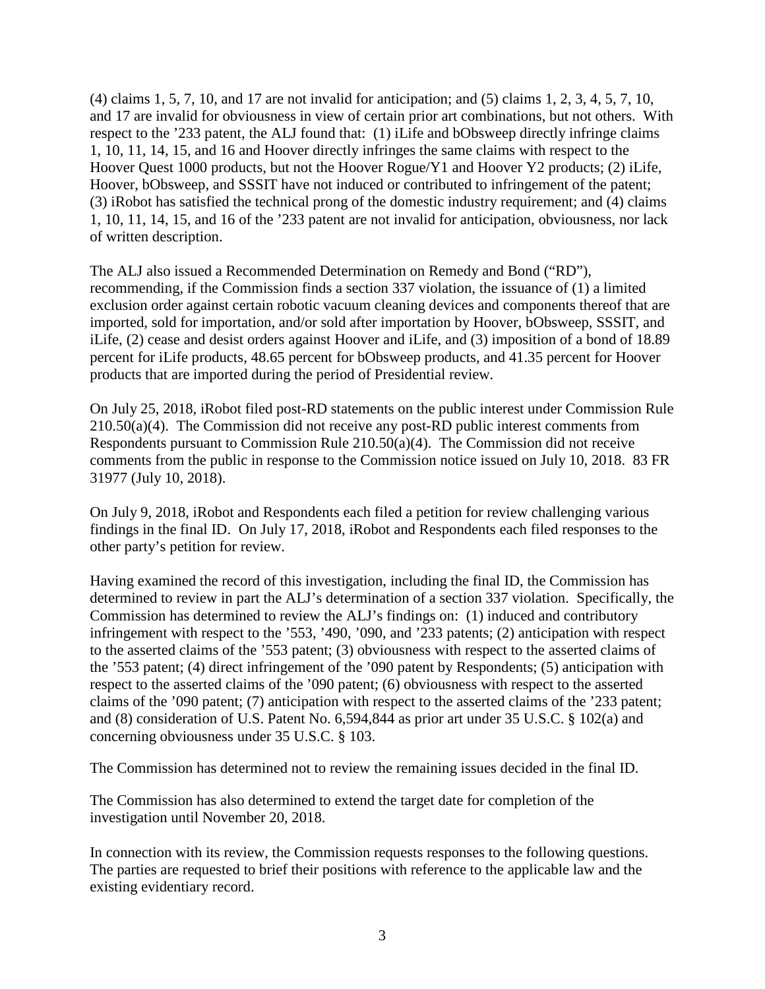(4) claims 1, 5, 7, 10, and 17 are not invalid for anticipation; and (5) claims 1, 2, 3, 4, 5, 7, 10, and 17 are invalid for obviousness in view of certain prior art combinations, but not others. With respect to the '233 patent, the ALJ found that: (1) iLife and bObsweep directly infringe claims 1, 10, 11, 14, 15, and 16 and Hoover directly infringes the same claims with respect to the Hoover Quest 1000 products, but not the Hoover Rogue/Y1 and Hoover Y2 products; (2) iLife, Hoover, bObsweep, and SSSIT have not induced or contributed to infringement of the patent; (3) iRobot has satisfied the technical prong of the domestic industry requirement; and (4) claims 1, 10, 11, 14, 15, and 16 of the '233 patent are not invalid for anticipation, obviousness, nor lack of written description.

The ALJ also issued a Recommended Determination on Remedy and Bond ("RD"), recommending, if the Commission finds a section 337 violation, the issuance of (1) a limited exclusion order against certain robotic vacuum cleaning devices and components thereof that are imported, sold for importation, and/or sold after importation by Hoover, bObsweep, SSSIT, and iLife, (2) cease and desist orders against Hoover and iLife, and (3) imposition of a bond of 18.89 percent for iLife products, 48.65 percent for bObsweep products, and 41.35 percent for Hoover products that are imported during the period of Presidential review.

On July 25, 2018, iRobot filed post-RD statements on the public interest under Commission Rule 210.50(a)(4). The Commission did not receive any post-RD public interest comments from Respondents pursuant to Commission Rule 210.50(a)(4). The Commission did not receive comments from the public in response to the Commission notice issued on July 10, 2018. 83 FR 31977 (July 10, 2018).

On July 9, 2018, iRobot and Respondents each filed a petition for review challenging various findings in the final ID. On July 17, 2018, iRobot and Respondents each filed responses to the other party's petition for review.

Having examined the record of this investigation, including the final ID, the Commission has determined to review in part the ALJ's determination of a section 337 violation. Specifically, the Commission has determined to review the ALJ's findings on: (1) induced and contributory infringement with respect to the '553, '490, '090, and '233 patents; (2) anticipation with respect to the asserted claims of the '553 patent; (3) obviousness with respect to the asserted claims of the '553 patent; (4) direct infringement of the '090 patent by Respondents; (5) anticipation with respect to the asserted claims of the '090 patent; (6) obviousness with respect to the asserted claims of the '090 patent; (7) anticipation with respect to the asserted claims of the '233 patent; and (8) consideration of U.S. Patent No. 6,594,844 as prior art under 35 U.S.C. § 102(a) and concerning obviousness under 35 U.S.C. § 103.

The Commission has determined not to review the remaining issues decided in the final ID.

The Commission has also determined to extend the target date for completion of the investigation until November 20, 2018.

In connection with its review, the Commission requests responses to the following questions. The parties are requested to brief their positions with reference to the applicable law and the existing evidentiary record.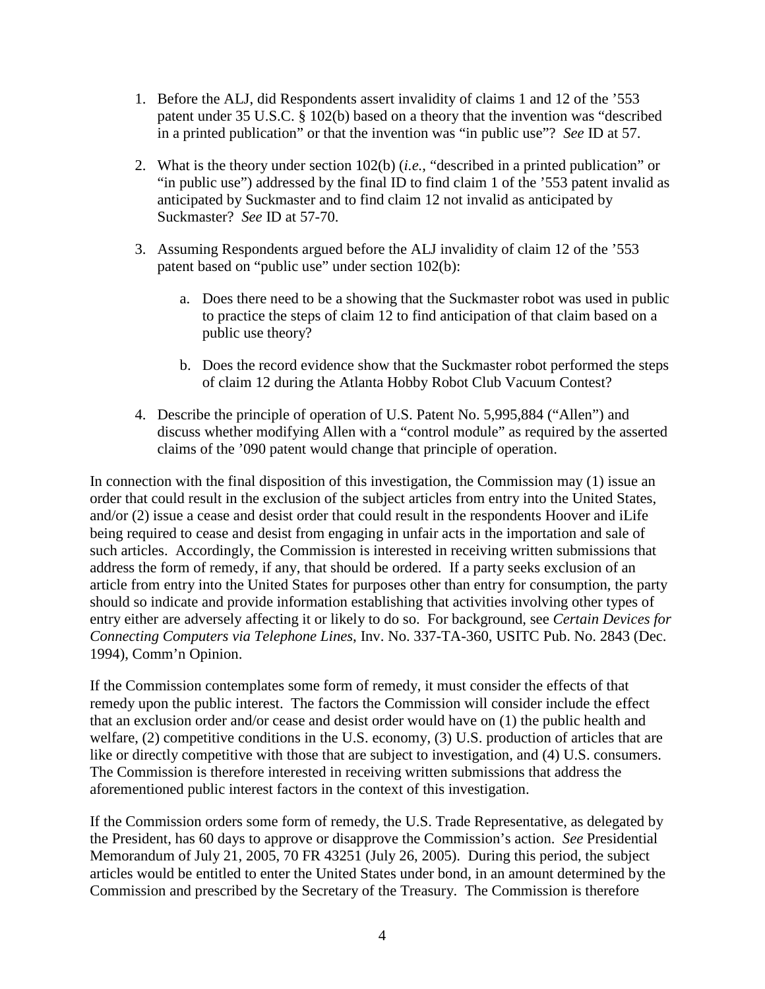- 1. Before the ALJ, did Respondents assert invalidity of claims 1 and 12 of the '553 patent under 35 U.S.C. § 102(b) based on a theory that the invention was "described in a printed publication" or that the invention was "in public use"? *See* ID at 57.
- 2. What is the theory under section 102(b) (*i.e.*, "described in a printed publication" or "in public use") addressed by the final ID to find claim 1 of the '553 patent invalid as anticipated by Suckmaster and to find claim 12 not invalid as anticipated by Suckmaster? *See* ID at 57-70.
- 3. Assuming Respondents argued before the ALJ invalidity of claim 12 of the '553 patent based on "public use" under section 102(b):
	- a. Does there need to be a showing that the Suckmaster robot was used in public to practice the steps of claim 12 to find anticipation of that claim based on a public use theory?
	- b. Does the record evidence show that the Suckmaster robot performed the steps of claim 12 during the Atlanta Hobby Robot Club Vacuum Contest?
- 4. Describe the principle of operation of U.S. Patent No. 5,995,884 ("Allen") and discuss whether modifying Allen with a "control module" as required by the asserted claims of the '090 patent would change that principle of operation.

In connection with the final disposition of this investigation, the Commission may (1) issue an order that could result in the exclusion of the subject articles from entry into the United States, and/or (2) issue a cease and desist order that could result in the respondents Hoover and iLife being required to cease and desist from engaging in unfair acts in the importation and sale of such articles. Accordingly, the Commission is interested in receiving written submissions that address the form of remedy, if any, that should be ordered. If a party seeks exclusion of an article from entry into the United States for purposes other than entry for consumption, the party should so indicate and provide information establishing that activities involving other types of entry either are adversely affecting it or likely to do so. For background, see *Certain Devices for Connecting Computers via Telephone Lines*, Inv. No. 337-TA-360, USITC Pub. No. 2843 (Dec. 1994), Comm'n Opinion.

If the Commission contemplates some form of remedy, it must consider the effects of that remedy upon the public interest. The factors the Commission will consider include the effect that an exclusion order and/or cease and desist order would have on (1) the public health and welfare, (2) competitive conditions in the U.S. economy, (3) U.S. production of articles that are like or directly competitive with those that are subject to investigation, and (4) U.S. consumers. The Commission is therefore interested in receiving written submissions that address the aforementioned public interest factors in the context of this investigation.

If the Commission orders some form of remedy, the U.S. Trade Representative, as delegated by the President, has 60 days to approve or disapprove the Commission's action. *See* Presidential Memorandum of July 21, 2005, 70 FR 43251 (July 26, 2005). During this period, the subject articles would be entitled to enter the United States under bond, in an amount determined by the Commission and prescribed by the Secretary of the Treasury. The Commission is therefore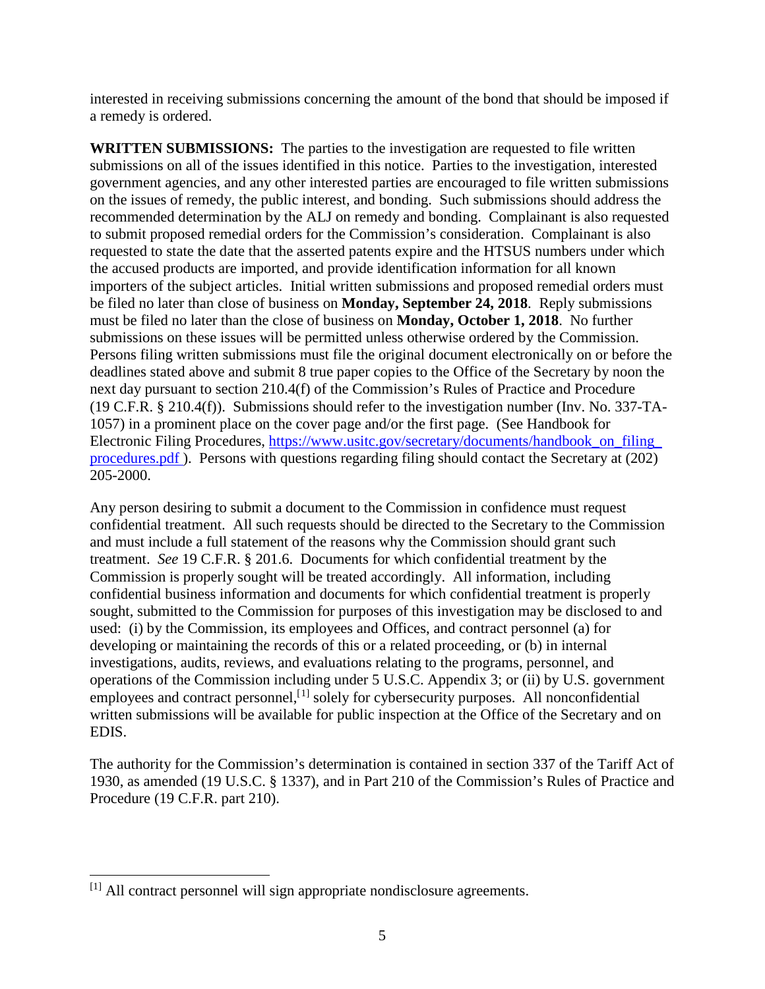interested in receiving submissions concerning the amount of the bond that should be imposed if a remedy is ordered.

**WRITTEN SUBMISSIONS:** The parties to the investigation are requested to file written submissions on all of the issues identified in this notice. Parties to the investigation, interested government agencies, and any other interested parties are encouraged to file written submissions on the issues of remedy, the public interest, and bonding. Such submissions should address the recommended determination by the ALJ on remedy and bonding. Complainant is also requested to submit proposed remedial orders for the Commission's consideration. Complainant is also requested to state the date that the asserted patents expire and the HTSUS numbers under which the accused products are imported, and provide identification information for all known importers of the subject articles. Initial written submissions and proposed remedial orders must be filed no later than close of business on **Monday, September 24, 2018**. Reply submissions must be filed no later than the close of business on **Monday, October 1, 2018**. No further submissions on these issues will be permitted unless otherwise ordered by the Commission. Persons filing written submissions must file the original document electronically on or before the deadlines stated above and submit 8 true paper copies to the Office of the Secretary by noon the next day pursuant to section 210.4(f) of the Commission's Rules of Practice and Procedure (19 C.F.R. § 210.4(f)). Submissions should refer to the investigation number (Inv. No. 337-TA-1057) in a prominent place on the cover page and/or the first page. (See Handbook for Electronic Filing Procedures, [https://www.usitc.gov/secretary/documents/handbook\\_on\\_filing\\_](https://www.usitc.gov/secretary/documents/handbook_on_filing_procedures.pdf) [procedures.pdf \)](https://www.usitc.gov/secretary/documents/handbook_on_filing_procedures.pdf). Persons with questions regarding filing should contact the Secretary at (202) 205-2000.

Any person desiring to submit a document to the Commission in confidence must request confidential treatment. All such requests should be directed to the Secretary to the Commission and must include a full statement of the reasons why the Commission should grant such treatment. *See* 19 C.F.R. § 201.6. Documents for which confidential treatment by the Commission is properly sought will be treated accordingly. All information, including confidential business information and documents for which confidential treatment is properly sought, submitted to the Commission for purposes of this investigation may be disclosed to and used: (i) by the Commission, its employees and Offices, and contract personnel (a) for developing or maintaining the records of this or a related proceeding, or (b) in internal investigations, audits, reviews, and evaluations relating to the programs, personnel, and operations of the Commission including under 5 U.S.C. Appendix 3; or (ii) by U.S. government employees and contract personnel,<sup>[[1](#page-4-0)]</sup> solely for cybersecurity purposes. All nonconfidential written submissions will be available for public inspection at the Office of the Secretary and on EDIS.

The authority for the Commission's determination is contained in section 337 of the Tariff Act of 1930, as amended (19 U.S.C. § 1337), and in Part 210 of the Commission's Rules of Practice and Procedure (19 C.F.R. part 210).

<span id="page-4-0"></span>l [1] All contract personnel will sign appropriate nondisclosure agreements.